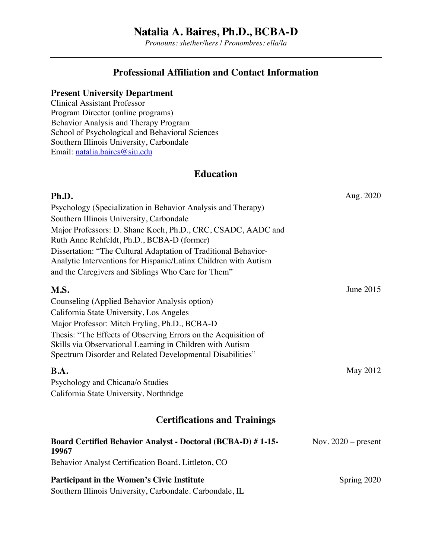*Pronouns: she/her/hers | Pronombres: ella/la*

### **Professional Affiliation and Contact Information**

#### **Present University Department**

Clinical Assistant Professor Program Director (online programs) Behavior Analysis and Therapy Program School of Psychological and Behavioral Sciences Southern Illinois University, Carbondale Email: natalia.baires@siu.edu

### **Education**

| Ph.D.                                                                                                                                                                                                                                                                                                                                                                     | Aug. 2020             |
|---------------------------------------------------------------------------------------------------------------------------------------------------------------------------------------------------------------------------------------------------------------------------------------------------------------------------------------------------------------------------|-----------------------|
| Psychology (Specialization in Behavior Analysis and Therapy)                                                                                                                                                                                                                                                                                                              |                       |
| Southern Illinois University, Carbondale                                                                                                                                                                                                                                                                                                                                  |                       |
| Major Professors: D. Shane Koch, Ph.D., CRC, CSADC, AADC and<br>Ruth Anne Rehfeldt, Ph.D., BCBA-D (former)                                                                                                                                                                                                                                                                |                       |
| Dissertation: "The Cultural Adaptation of Traditional Behavior-<br>Analytic Interventions for Hispanic/Latinx Children with Autism<br>and the Caregivers and Siblings Who Care for Them"                                                                                                                                                                                  |                       |
|                                                                                                                                                                                                                                                                                                                                                                           |                       |
| M.S.                                                                                                                                                                                                                                                                                                                                                                      | June 2015             |
| Counseling (Applied Behavior Analysis option)                                                                                                                                                                                                                                                                                                                             |                       |
| California State University, Los Angeles                                                                                                                                                                                                                                                                                                                                  |                       |
| Major Professor: Mitch Fryling, Ph.D., BCBA-D                                                                                                                                                                                                                                                                                                                             |                       |
| Thesis: "The Effects of Observing Errors on the Acquisition of                                                                                                                                                                                                                                                                                                            |                       |
| Skills via Observational Learning in Children with Autism                                                                                                                                                                                                                                                                                                                 |                       |
| Spectrum Disorder and Related Developmental Disabilities"                                                                                                                                                                                                                                                                                                                 |                       |
| B.A.                                                                                                                                                                                                                                                                                                                                                                      | May 2012              |
| Psychology and Chicana/o Studies                                                                                                                                                                                                                                                                                                                                          |                       |
| California State University, Northridge                                                                                                                                                                                                                                                                                                                                   |                       |
| <b>Certifications and Trainings</b>                                                                                                                                                                                                                                                                                                                                       |                       |
| Board Certified Behavior Analyst - Doctoral (BCBA-D) #1-15-<br>19967                                                                                                                                                                                                                                                                                                      | Nov. $2020$ – present |
| Behavior Analyst Certification Board. Littleton, CO                                                                                                                                                                                                                                                                                                                       |                       |
| <b>Participant in the Women's Civic Institute</b>                                                                                                                                                                                                                                                                                                                         | Spring 2020           |
| $\alpha$ $\alpha$ $\alpha$ $\alpha$<br>$\mathbf{H}$ $\mathbf{H}$ $\mathbf{H}$ $\mathbf{H}$ $\mathbf{H}$ $\mathbf{H}$ $\mathbf{H}$ $\mathbf{H}$ $\mathbf{H}$ $\mathbf{H}$ $\mathbf{H}$ $\mathbf{H}$ $\mathbf{H}$ $\mathbf{H}$ $\mathbf{H}$ $\mathbf{H}$ $\mathbf{H}$ $\mathbf{H}$ $\mathbf{H}$ $\mathbf{H}$ $\mathbf{H}$ $\mathbf{H}$ $\mathbf{H}$ $\mathbf{H}$ $\mathbf{$ |                       |

Southern Illinois University, Carbondale. Carbondale, IL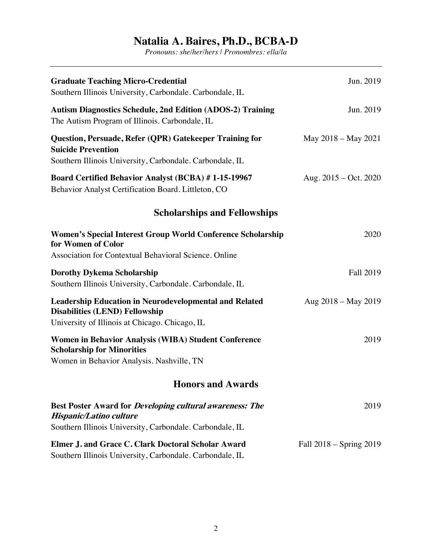| <b>Graduate Teaching Micro-Credential</b><br>Southern Illinois University, Carbondale. Carbondale, IL                                                    | Jun. 2019               |
|----------------------------------------------------------------------------------------------------------------------------------------------------------|-------------------------|
| <b>Autism Diagnostics Schedule, 2nd Edition (ADOS-2) Training</b><br>The Autism Program of Illinois. Carbondale, IL                                      | Jun. 2019               |
| Question, Persuade, Refer (QPR) Gatekeeper Training for<br><b>Suicide Prevention</b><br>Southern Illinois University, Carbondale. Carbondale, IL         | May 2018 – May 2021     |
| Board Certified Behavior Analyst (BCBA) #1-15-19967<br>Behavior Analyst Certification Board. Littleton, CO                                               | Aug. $2015 - Oct. 2020$ |
| <b>Scholarships and Fellowships</b>                                                                                                                      |                         |
| Women's Special Interest Group World Conference Scholarship<br>for Women of Color<br>Association for Contextual Behavioral Science. Online               | 2020                    |
| <b>Dorothy Dykema Scholarship</b><br>Southern Illinois University, Carbondale. Carbondale, IL                                                            | Fall 2019               |
| <b>Leadership Education in Neurodevelopmental and Related</b><br><b>Disabilities (LEND) Fellowship</b><br>University of Illinois at Chicago. Chicago, IL | Aug 2018 – May 2019     |
| Women in Behavior Analysis (WIBA) Student Conference<br><b>Scholarship for Minorities</b><br>Women in Behavior Analysis. Nashville, TN                   | 2019                    |
| <b>Honors and Awards</b>                                                                                                                                 |                         |
| <b>Best Poster Award for Developing cultural awareness: The</b><br>Hispanic/Latino culture<br>Southern Illinois University, Carbondale. Carbondale, IL   | 2019                    |
| Elmer J. and Grace C. Clark Doctoral Scholar Award<br>Southern Illinois University, Carbondale. Carbondale, IL                                           | Fall 2018 - Spring 2019 |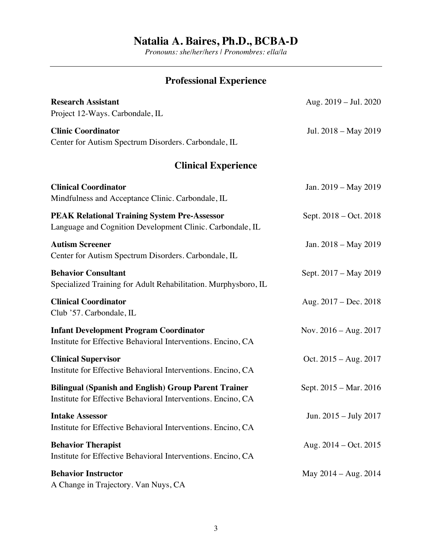*Pronouns: she/her/hers | Pronombres: ella/la*

# **Professional Experience**

| <b>Research Assistant</b>                                                                                                   | Aug. 2019 - Jul. 2020   |
|-----------------------------------------------------------------------------------------------------------------------------|-------------------------|
| Project 12-Ways. Carbondale, IL                                                                                             |                         |
| <b>Clinic Coordinator</b><br>Center for Autism Spectrum Disorders. Carbondale, IL                                           | Jul. 2018 – May 2019    |
| <b>Clinical Experience</b>                                                                                                  |                         |
| <b>Clinical Coordinator</b><br>Mindfulness and Acceptance Clinic. Carbondale, IL                                            | Jan. 2019 – May 2019    |
| <b>PEAK Relational Training System Pre-Assessor</b><br>Language and Cognition Development Clinic. Carbondale, IL            | Sept. 2018 – Oct. 2018  |
| <b>Autism Screener</b><br>Center for Autism Spectrum Disorders. Carbondale, IL                                              | Jan. 2018 – May 2019    |
| <b>Behavior Consultant</b><br>Specialized Training for Adult Rehabilitation. Murphysboro, IL                                | Sept. 2017 – May 2019   |
| <b>Clinical Coordinator</b><br>Club '57. Carbondale, IL                                                                     | Aug. 2017 – Dec. 2018   |
| <b>Infant Development Program Coordinator</b><br>Institute for Effective Behavioral Interventions. Encino, CA               | Nov. $2016 - Aug. 2017$ |
| <b>Clinical Supervisor</b><br>Institute for Effective Behavioral Interventions. Encino, CA                                  | Oct. $2015 - Aug. 2017$ |
| <b>Bilingual (Spanish and English) Group Parent Trainer</b><br>Institute for Effective Behavioral Interventions. Encino, CA | Sept. 2015 – Mar. 2016  |
| <b>Intake Assessor</b><br>Institute for Effective Behavioral Interventions. Encino, CA                                      | Jun. $2015 -$ July 2017 |
| <b>Behavior Therapist</b><br>Institute for Effective Behavioral Interventions. Encino, CA                                   | Aug. $2014 - Oct. 2015$ |
| <b>Behavior Instructor</b><br>A Change in Trajectory. Van Nuys, CA                                                          | May $2014 - Aug. 2014$  |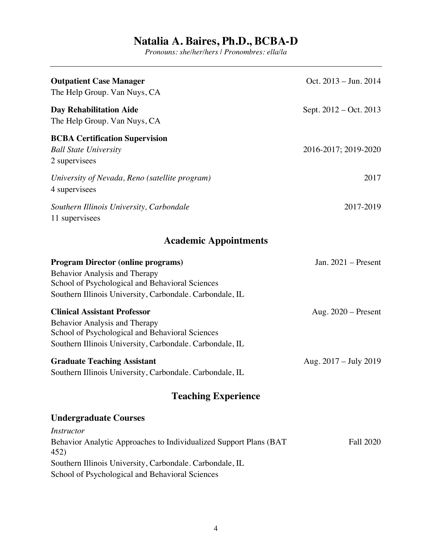| <b>Outpatient Case Manager</b><br>The Help Group. Van Nuys, CA                                                                                                                                   | Oct. $2013 - \text{Jun. } 2014$ |
|--------------------------------------------------------------------------------------------------------------------------------------------------------------------------------------------------|---------------------------------|
| <b>Day Rehabilitation Aide</b><br>The Help Group. Van Nuys, CA                                                                                                                                   | Sept. 2012 – Oct. 2013          |
| <b>BCBA Certification Supervision</b><br><b>Ball State University</b><br>2 supervisees                                                                                                           | 2016-2017; 2019-2020            |
| University of Nevada, Reno (satellite program)<br>4 supervisees                                                                                                                                  | 2017                            |
| Southern Illinois University, Carbondale<br>11 supervisees                                                                                                                                       | 2017-2019                       |
| <b>Academic Appointments</b>                                                                                                                                                                     |                                 |
| <b>Program Director (online programs)</b><br><b>Behavior Analysis and Therapy</b><br>School of Psychological and Behavioral Sciences<br>Southern Illinois University, Carbondale. Carbondale, IL | Jan. $2021$ – Present           |
| <b>Clinical Assistant Professor</b><br><b>Behavior Analysis and Therapy</b><br>School of Psychological and Behavioral Sciences<br>Southern Illinois University, Carbondale. Carbondale, IL       | Aug. $2020$ – Present           |
| <b>Graduate Teaching Assistant</b><br>Southern Illinois University, Carbondale. Carbondale, IL                                                                                                   | Aug. 2017 - July 2019           |
| <b>Teaching Experience</b>                                                                                                                                                                       |                                 |
| <b>Undergraduate Courses</b>                                                                                                                                                                     |                                 |
| <i>Instructor</i><br>Behavior Analytic Approaches to Individualized Support Plans (BAT<br>452)                                                                                                   | <b>Fall 2020</b>                |
| Southern Illinois University, Carbondale. Carbondale, IL<br>School of Psychological and Behavioral Sciences                                                                                      |                                 |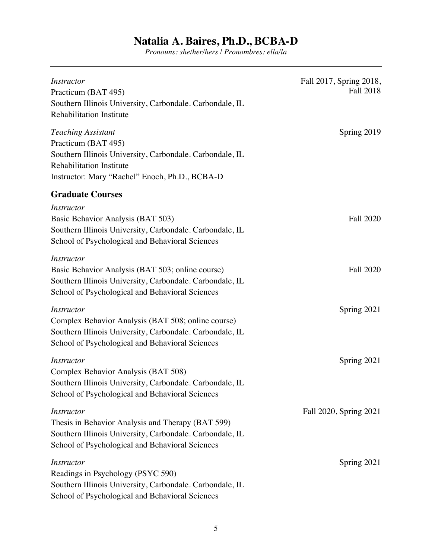| <i>Instructor</i><br>Practicum (BAT 495)<br>Southern Illinois University, Carbondale. Carbondale, IL<br><b>Rehabilitation Institute</b>                                                           | Fall 2017, Spring 2018,<br>Fall 2018 |
|---------------------------------------------------------------------------------------------------------------------------------------------------------------------------------------------------|--------------------------------------|
| <b>Teaching Assistant</b><br>Practicum (BAT 495)<br>Southern Illinois University, Carbondale. Carbondale, IL<br><b>Rehabilitation Institute</b><br>Instructor: Mary "Rachel" Enoch, Ph.D., BCBA-D | Spring 2019                          |
| <b>Graduate Courses</b>                                                                                                                                                                           |                                      |
| <i>Instructor</i><br>Basic Behavior Analysis (BAT 503)<br>Southern Illinois University, Carbondale. Carbondale, IL<br>School of Psychological and Behavioral Sciences                             | <b>Fall 2020</b>                     |
| <b>Instructor</b><br>Basic Behavior Analysis (BAT 503; online course)<br>Southern Illinois University, Carbondale. Carbondale, IL<br>School of Psychological and Behavioral Sciences              | <b>Fall 2020</b>                     |
| <i>Instructor</i><br>Complex Behavior Analysis (BAT 508; online course)<br>Southern Illinois University, Carbondale. Carbondale, IL<br>School of Psychological and Behavioral Sciences            | Spring 2021                          |
| <i>Instructor</i><br>Complex Behavior Analysis (BAT 508)<br>Southern Illinois University, Carbondale. Carbondale, IL<br>School of Psychological and Behavioral Sciences                           | Spring 2021                          |
| <i>Instructor</i><br>Thesis in Behavior Analysis and Therapy (BAT 599)<br>Southern Illinois University, Carbondale. Carbondale, IL<br>School of Psychological and Behavioral Sciences             | Fall 2020, Spring 2021               |
| <b>Instructor</b><br>Readings in Psychology (PSYC 590)<br>Southern Illinois University, Carbondale. Carbondale, IL<br>School of Psychological and Behavioral Sciences                             | Spring 2021                          |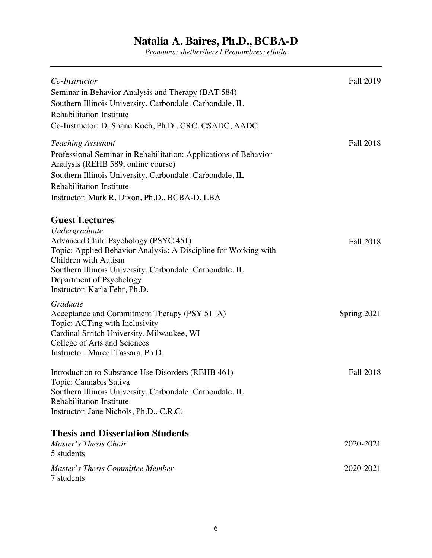| Co-Instructor<br>Seminar in Behavior Analysis and Therapy (BAT 584)<br>Southern Illinois University, Carbondale. Carbondale, IL<br><b>Rehabilitation Institute</b><br>Co-Instructor: D. Shane Koch, Ph.D., CRC, CSADC, AADC                                                                        | Fall 2019        |
|----------------------------------------------------------------------------------------------------------------------------------------------------------------------------------------------------------------------------------------------------------------------------------------------------|------------------|
| <b>Teaching Assistant</b><br>Professional Seminar in Rehabilitation: Applications of Behavior<br>Analysis (REHB 589; online course)<br>Southern Illinois University, Carbondale. Carbondale, IL<br><b>Rehabilitation Institute</b><br>Instructor: Mark R. Dixon, Ph.D., BCBA-D, LBA                | <b>Fall 2018</b> |
| <b>Guest Lectures</b><br>Undergraduate<br>Advanced Child Psychology (PSYC 451)<br>Topic: Applied Behavior Analysis: A Discipline for Working with<br>Children with Autism<br>Southern Illinois University, Carbondale. Carbondale, IL<br>Department of Psychology<br>Instructor: Karla Fehr, Ph.D. | Fall 2018        |
| Graduate<br>Acceptance and Commitment Therapy (PSY 511A)<br>Topic: ACTing with Inclusivity<br>Cardinal Stritch University. Milwaukee, WI<br>College of Arts and Sciences<br>Instructor: Marcel Tassara, Ph.D.                                                                                      | Spring 2021      |
| Introduction to Substance Use Disorders (REHB 461)<br>Topic: Cannabis Sativa<br>Southern Illinois University, Carbondale. Carbondale, IL<br><b>Rehabilitation Institute</b><br>Instructor: Jane Nichols, Ph.D., C.R.C.                                                                             | <b>Fall 2018</b> |
| <b>Thesis and Dissertation Students</b><br>Master's Thesis Chair<br>5 students                                                                                                                                                                                                                     | 2020-2021        |
| Master's Thesis Committee Member<br>7 students                                                                                                                                                                                                                                                     | 2020-2021        |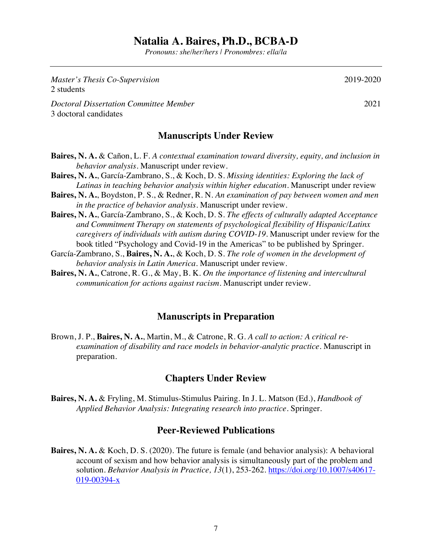*Pronouns: she/her/hers | Pronombres: ella/la*

| Master's Thesis Co-Supervision<br>2 students                    | 2019-202 |
|-----------------------------------------------------------------|----------|
| Doctoral Dissertation Committee Member<br>3 doctoral candidates | 202      |
| <b>Manuscripts Under Review</b>                                 |          |

- **Baires, N. A.** & Cañon, L. F. *A contextual examination toward diversity, equity, and inclusion in behavior analysis.* Manuscript under review.
- **Baires, N. A.**, García-Zambrano, S., & Koch, D. S. *Missing identities: Exploring the lack of Latinas in teaching behavior analysis within higher education.* Manuscript under review
- **Baires, N. A.**, Boydston, P. S., & Redner, R. N. *An examination of pay between women and men in the practice of behavior analysis.* Manuscript under review.
- **Baires, N. A.**, García-Zambrano, S., & Koch, D. S. *The effects of culturally adapted Acceptance and Commitment Therapy on statements of psychological flexibility of Hispanic/Latinx caregivers of individuals with autism during COVID-19.* Manuscript under review for the book titled "Psychology and Covid-19 in the Americas" to be published by Springer.
- García-Zambrano, S., **Baires, N. A.**, & Koch, D. S. *The role of women in the development of behavior analysis in Latin America.* Manuscript under review.
- **Baires, N. A.**, Catrone, R. G., & May, B. K. *On the importance of listening and intercultural communication for actions against racism.* Manuscript under review.

#### **Manuscripts in Preparation**

Brown, J. P., **Baires, N. A.**, Martin, M., & Catrone, R. G. *A call to action: A critical reexamination of disability and race models in behavior-analytic practice.* Manuscript in preparation.

#### **Chapters Under Review**

**Baires, N. A.** & Fryling, M. Stimulus-Stimulus Pairing. In J. L. Matson (Ed.), *Handbook of Applied Behavior Analysis: Integrating research into practice.* Springer.

#### **Peer-Reviewed Publications**

**Baires, N. A.** & Koch, D. S. (2020). The future is female (and behavior analysis): A behavioral account of sexism and how behavior analysis is simultaneously part of the problem and solution. *Behavior Analysis in Practice, 13*(1), 253-262. https://doi.org/10.1007/s40617- 019-00394-x

 $\Omega$ 

 $\overline{1}$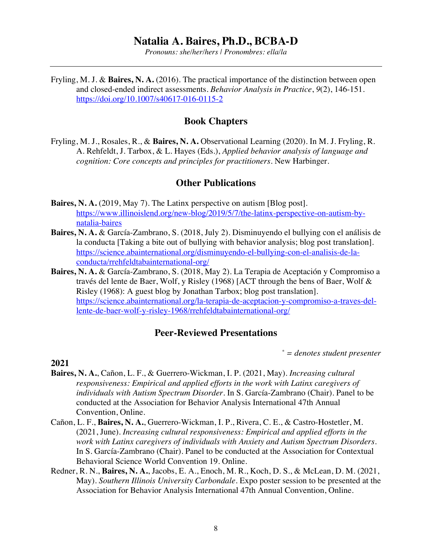*Pronouns: she/her/hers | Pronombres: ella/la*

Fryling, M. J. & **Baires, N. A.** (2016). The practical importance of the distinction between open and closed-ended indirect assessments. *Behavior Analysis in Practice*, *9*(2), 146-151. https://doi.org/10.1007/s40617-016-0115-2

#### **Book Chapters**

Fryling, M. J., Rosales, R., & **Baires, N. A.** Observational Learning (2020). In M. J. Fryling, R. A. Rehfeldt, J. Tarbox, & L. Hayes (Eds.), *Applied behavior analysis of language and cognition: Core concepts and principles for practitioners.* New Harbinger.

#### **Other Publications**

- **Baires, N. A.** (2019, May 7). The Latinx perspective on autism [Blog post]. https://www.illinoislend.org/new-blog/2019/5/7/the-latinx-perspective-on-autism-bynatalia-baires
- **Baires, N. A.** & García-Zambrano, S. (2018, July 2). Disminuyendo el bullying con el análisis de la conducta [Taking a bite out of bullying with behavior analysis; blog post translation]. https://science.abainternational.org/disminuyendo-el-bullying-con-el-analisis-de-laconducta/rrehfeldtabainternational-org/
- **Baires, N. A.** & García-Zambrano, S. (2018, May 2). La Terapia de Aceptación y Compromiso a través del lente de Baer, Wolf, y Risley (1968) [ACT through the bens of Baer, Wolf & Risley (1968): A guest blog by Jonathan Tarbox; blog post translation]. https://science.abainternational.org/la-terapia-de-aceptacion-y-compromiso-a-traves-dellente-de-baer-wolf-y-risley-1968/rrehfeldtabainternational-org/

#### **Peer-Reviewed Presentations**

*\* = denotes student presenter*

- **Baires, N. A.**, Cañon, L. F., & Guerrero-Wickman, I. P. (2021, May). *Increasing cultural responsiveness: Empirical and applied efforts in the work with Latinx caregivers of individuals with Autism Spectrum Disorder.* In S. García-Zambrano (Chair). Panel to be conducted at the Association for Behavior Analysis International 47th Annual Convention, Online.
- Cañon, L. F., **Baires, N. A.**, Guerrero-Wickman, I. P., Rivera, C. E., & Castro-Hostetler, M. (2021, June). *Increasing cultural responsiveness: Empirical and applied efforts in the work with Latinx caregivers of individuals with Anxiety and Autism Spectrum Disorders.* In S. García-Zambrano (Chair). Panel to be conducted at the Association for Contextual Behavioral Science World Convention 19. Online.
- Redner, R. N., **Baires, N. A.**, Jacobs, E. A., Enoch, M. R., Koch, D. S., & McLean, D. M. (2021, May). *Southern Illinois University Carbondale*. Expo poster session to be presented at the Association for Behavior Analysis International 47th Annual Convention, Online.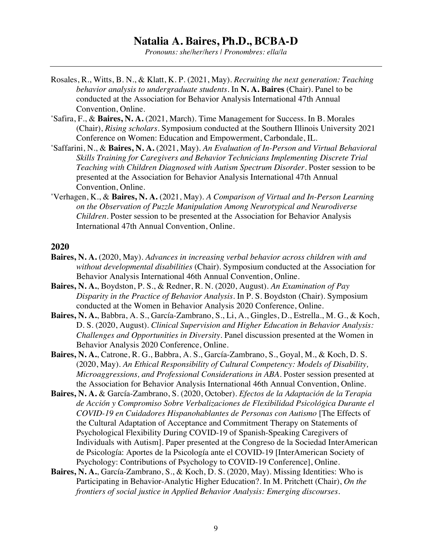*Pronouns: she/her/hers | Pronombres: ella/la*

- Rosales, R., Witts, B. N., & Klatt, K. P. (2021, May). *Recruiting the next generation: Teaching behavior analysis to undergraduate students.* In **N. A. Baires** (Chair). Panel to be conducted at the Association for Behavior Analysis International 47th Annual Convention, Online.
- \* Safira, F., & **Baires, N. A.** (2021, March). Time Management for Success. In B. Morales (Chair), *Rising scholars.* Symposium conducted at the Southern Illinois University 2021 Conference on Women: Education and Empowerment, Carbondale, IL.
- \* Saffarini, N., & **Baires, N. A.** (2021, May). *An Evaluation of In-Person and Virtual Behavioral Skills Training for Caregivers and Behavior Technicians Implementing Discrete Trial Teaching with Children Diagnosed with Autism Spectrum Disorder*. Poster session to be presented at the Association for Behavior Analysis International 47th Annual Convention, Online.
- \* Verhagen, K., & **Baires, N. A.** (2021, May). *A Comparison of Virtual and In-Person Learning on the Observation of Puzzle Manipulation Among Neurotypical and Neurodiverse Children*. Poster session to be presented at the Association for Behavior Analysis International 47th Annual Convention, Online.

- **Baires, N. A.** (2020, May). *Advances in increasing verbal behavior across children with and without developmental disabilities* (Chair). Symposium conducted at the Association for Behavior Analysis International 46th Annual Convention, Online.
- **Baires, N. A.**, Boydston, P. S., & Redner, R. N. (2020, August). *An Examination of Pay Disparity in the Practice of Behavior Analysis*. In P. S. Boydston (Chair). Symposium conducted at the Women in Behavior Analysis 2020 Conference, Online.
- **Baires, N. A.**, Babbra, A. S., García-Zambrano, S., Li, A., Gingles, D., Estrella., M. G., & Koch, D. S. (2020, August). *Clinical Supervision and Higher Education in Behavior Analysis: Challenges and Opportunities in Diversity*. Panel discussion presented at the Women in Behavior Analysis 2020 Conference, Online.
- **Baires, N. A.**, Catrone, R. G., Babbra, A. S., García-Zambrano, S., Goyal, M., & Koch, D. S. (2020, May). *An Ethical Responsibility of Cultural Competency: Models of Disability, Microaggressions, and Professional Considerations in ABA*. Poster session presented at the Association for Behavior Analysis International 46th Annual Convention, Online.
- **Baires, N. A.** & García-Zambrano, S. (2020, October). *Efectos de la Adaptación de la Terapia de Acción y Compromiso Sobre Verbalizaciones de Flexibilidad Psicológica Durante el COVID-19 en Cuidadores Hispanohablantes de Personas con Autismo* [The Effects of the Cultural Adaptation of Acceptance and Commitment Therapy on Statements of Psychological Flexibility During COVID-19 of Spanish-Speaking Caregivers of Individuals with Autism]. Paper presented at the Congreso de la Sociedad InterAmerican de Psicología: Aportes de la Psicología ante el COVID-19 [InterAmerican Society of Psychology: Contributions of Psychology to COVID-19 Conference], Online.
- **Baires, N. A.**, García-Zambrano, S., & Koch, D. S. (2020, May). Missing Identities: Who is Participating in Behavior-Analytic Higher Education?. In M. Pritchett (Chair), *On the frontiers of social justice in Applied Behavior Analysis: Emerging discourses*.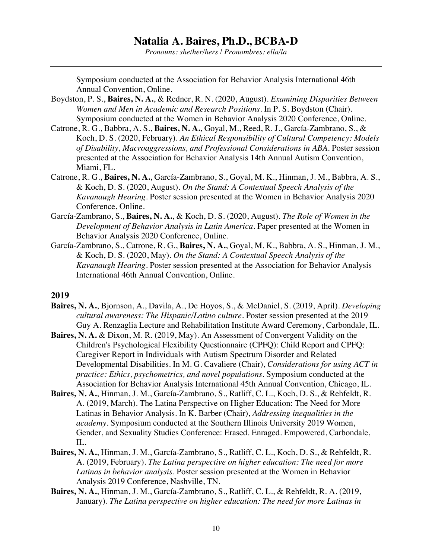*Pronouns: she/her/hers | Pronombres: ella/la*

Symposium conducted at the Association for Behavior Analysis International 46th Annual Convention, Online.

- Boydston, P. S., **Baires, N. A.**, & Redner, R. N. (2020, August). *Examining Disparities Between Women and Men in Academic and Research Positions*. In P. S. Boydston (Chair). Symposium conducted at the Women in Behavior Analysis 2020 Conference, Online.
- Catrone, R. G., Babbra, A. S., **Baires, N. A.**, Goyal, M., Reed, R. J., García-Zambrano, S., & Koch, D. S. (2020, February). *An Ethical Responsibility of Cultural Competency: Models of Disability, Macroaggressions, and Professional Considerations in ABA*. Poster session presented at the Association for Behavior Analysis 14th Annual Autism Convention, Miami, FL.
- Catrone, R. G., **Baires, N. A.**, García-Zambrano, S., Goyal, M. K., Hinman, J. M., Babbra, A. S., & Koch, D. S. (2020, August). *On the Stand: A Contextual Speech Analysis of the Kavanaugh Hearing*. Poster session presented at the Women in Behavior Analysis 2020 Conference, Online.
- García-Zambrano, S., **Baires, N. A.**, & Koch, D. S. (2020, August). *The Role of Women in the Development of Behavior Analysis in Latin America.* Paper presented at the Women in Behavior Analysis 2020 Conference, Online.
- García-Zambrano, S., Catrone, R. G., **Baires, N. A.**, Goyal, M. K., Babbra, A. S., Hinman, J. M., & Koch, D. S. (2020, May). *On the Stand: A Contextual Speech Analysis of the Kavanaugh Hearing*. Poster session presented at the Association for Behavior Analysis International 46th Annual Convention, Online.

- **Baires, N. A.**, Bjornson, A., Davila, A., De Hoyos, S., & McDaniel, S. (2019, April). *Developing cultural awareness: The Hispanic/Latino culture*. Poster session presented at the 2019 Guy A. Renzaglia Lecture and Rehabilitation Institute Award Ceremony, Carbondale, IL.
- **Baires, N. A.** & Dixon, M. R. (2019, May). An Assessment of Convergent Validity on the Children's Psychological Flexibility Questionnaire (CPFQ): Child Report and CPFQ: Caregiver Report in Individuals with Autism Spectrum Disorder and Related Developmental Disabilities. In M. G. Cavaliere (Chair), *Considerations for using ACT in practice: Ethics, psychometrics, and novel populations*. Symposium conducted at the Association for Behavior Analysis International 45th Annual Convention, Chicago, IL.
- **Baires, N. A.**, Hinman, J. M., García-Zambrano, S., Ratliff, C. L., Koch, D. S., & Rehfeldt, R. A. (2019, March). The Latina Perspective on Higher Education: The Need for More Latinas in Behavior Analysis. In K. Barber (Chair), *Addressing inequalities in the academy.* Symposium conducted at the Southern Illinois University 2019 Women, Gender, and Sexuality Studies Conference: Erased. Enraged. Empowered, Carbondale, IL.
- **Baires, N. A.**, Hinman, J. M., García-Zambrano, S., Ratliff, C. L., Koch, D. S., & Rehfeldt, R. A. (2019, February). *The Latina perspective on higher education: The need for more Latinas in behavior analysis*. Poster session presented at the Women in Behavior Analysis 2019 Conference, Nashville, TN.
- **Baires, N. A.**, Hinman, J. M., García-Zambrano, S., Ratliff, C. L., & Rehfeldt, R. A. (2019, January). *The Latina perspective on higher education: The need for more Latinas in*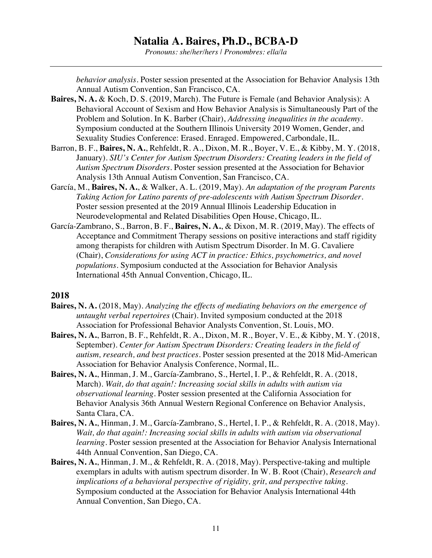*Pronouns: she/her/hers | Pronombres: ella/la*

*behavior analysis*. Poster session presented at the Association for Behavior Analysis 13th Annual Autism Convention, San Francisco, CA.

- **Baires, N. A.** & Koch, D. S. (2019, March). The Future is Female (and Behavior Analysis): A Behavioral Account of Sexism and How Behavior Analysis is Simultaneously Part of the Problem and Solution. In K. Barber (Chair), *Addressing inequalities in the academy.* Symposium conducted at the Southern Illinois University 2019 Women, Gender, and Sexuality Studies Conference: Erased. Enraged. Empowered, Carbondale, IL.
- Barron, B. F., **Baires, N. A.**, Rehfeldt, R. A., Dixon, M. R., Boyer, V. E., & Kibby, M. Y. (2018, January). *SIU's Center for Autism Spectrum Disorders: Creating leaders in the field of Autism Spectrum Disorders*. Poster session presented at the Association for Behavior Analysis 13th Annual Autism Convention, San Francisco, CA.
- García, M., **Baires, N. A.**, & Walker, A. L. (2019, May). *An adaptation of the program Parents Taking Action for Latino parents of pre-adolescents with Autism Spectrum Disorder.* Poster session presented at the 2019 Annual Illinois Leadership Education in Neurodevelopmental and Related Disabilities Open House, Chicago, IL.
- García-Zambrano, S., Barron, B. F., **Baires, N. A.**, & Dixon, M. R. (2019, May). The effects of Acceptance and Commitment Therapy sessions on positive interactions and staff rigidity among therapists for children with Autism Spectrum Disorder. In M. G. Cavaliere (Chair), *Considerations for using ACT in practice: Ethics, psychometrics, and novel populations*. Symposium conducted at the Association for Behavior Analysis International 45th Annual Convention, Chicago, IL.

- **Baires, N. A.** (2018, May). *Analyzing the effects of mediating behaviors on the emergence of untaught verbal repertoires* (Chair). Invited symposium conducted at the 2018 Association for Professional Behavior Analysts Convention, St. Louis, MO.
- **Baires, N. A.**, Barron, B. F., Rehfeldt, R. A., Dixon, M. R., Boyer, V. E., & Kibby, M. Y. (2018, September). *Center for Autism Spectrum Disorders: Creating leaders in the field of autism, research, and best practices.* Poster session presented at the 2018 Mid-American Association for Behavior Analysis Conference, Normal, IL.
- **Baires, N. A.**, Hinman, J. M., García-Zambrano, S., Hertel, I. P., & Rehfeldt, R. A. (2018, March). *Wait, do that again!: Increasing social skills in adults with autism via observational learning*. Poster session presented at the California Association for Behavior Analysis 36th Annual Western Regional Conference on Behavior Analysis, Santa Clara, CA.
- **Baires, N. A.**, Hinman, J. M., García-Zambrano, S., Hertel, I. P., & Rehfeldt, R. A. (2018, May). *Wait, do that again!: Increasing social skills in adults with autism via observational learning*. Poster session presented at the Association for Behavior Analysis International 44th Annual Convention, San Diego, CA.
- **Baires, N. A.**, Hinman, J. M., & Rehfeldt, R. A. (2018, May). Perspective-taking and multiple exemplars in adults with autism spectrum disorder. In W. B. Root (Chair), *Research and implications of a behavioral perspective of rigidity, grit, and perspective taking*. Symposium conducted at the Association for Behavior Analysis International 44th Annual Convention, San Diego, CA.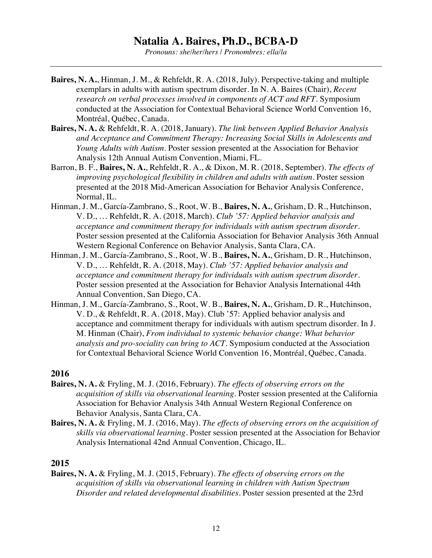*Pronouns: she/her/hers | Pronombres: ella/la*

- **Baires, N. A.**, Hinman, J. M., & Rehfeldt, R. A. (2018, July). Perspective-taking and multiple exemplars in adults with autism spectrum disorder. In N. A. Baires (Chair), *Recent research on verbal processes involved in components of ACT and RFT*. Symposium conducted at the Association for Contextual Behavioral Science World Convention 16, Montréal, Québec, Canada.
- **Baires, N. A.** & Rehfeldt, R. A. (2018, January). *The link between Applied Behavior Analysis and Acceptance and Commitment Therapy: Increasing Social Skills in Adolescents and Young Adults with Autism*. Poster session presented at the Association for Behavior Analysis 12th Annual Autism Convention, Miami, FL.
- Barron, B. F., **Baires, N. A.**, Rehfeldt, R. A., & Dixon, M. R. (2018, September). *The effects of improving psychological flexibility in children and adults with autism.* Poster session presented at the 2018 Mid-American Association for Behavior Analysis Conference, Normal, IL.
- Hinman, J. M., García-Zambrano, S., Root, W. B., **Baires, N. A.**, Grisham, D. R., Hutchinson, V. D., … Rehfeldt, R. A. (2018, March). *Club '57: Applied behavior analysis and acceptance and commitment therapy for individuals with autism spectrum disorder*. Poster session presented at the California Association for Behavior Analysis 36th Annual Western Regional Conference on Behavior Analysis, Santa Clara, CA.
- Hinman, J. M., García-Zambrano, S., Root, W. B., **Baires, N. A.**, Grisham, D. R., Hutchinson, V. D., … Rehfeldt, R. A. (2018, May). *Club '57: Applied behavior analysis and acceptance and commitment therapy for individuals with autism spectrum disorder*. Poster session presented at the Association for Behavior Analysis International 44th Annual Convention, San Diego, CA.
- Hinman, J. M., García-Zambrano, S., Root, W. B., **Baires, N. A.**, Grisham, D. R., Hutchinson, V. D., & Rehfeldt, R. A. (2018, May). Club '57: Applied behavior analysis and acceptance and commitment therapy for individuals with autism spectrum disorder. In J. M. Hinman (Chair), *From individual to systemic behavior change: What behavior analysis and pro-sociality can bring to ACT*. Symposium conducted at the Association for Contextual Behavioral Science World Convention 16, Montréal, Québec, Canada.

#### **2016**

- **Baires, N. A.** & Fryling, M. J. (2016, February). *The effects of observing errors on the acquisition of skills via observational learning*. Poster session presented at the California Association for Behavior Analysis 34th Annual Western Regional Conference on Behavior Analysis, Santa Clara, CA.
- **Baires, N. A.** & Fryling, M. J. (2016, May). *The effects of observing errors on the acquisition of skills via observational learning*. Poster session presented at the Association for Behavior Analysis International 42nd Annual Convention, Chicago, IL.

#### **2015**

**Baires, N. A.** & Fryling, M. J. (2015, February). *The effects of observing errors on the acquisition of skills via observational learning in children with Autism Spectrum Disorder and related developmental disabilities*. Poster session presented at the 23rd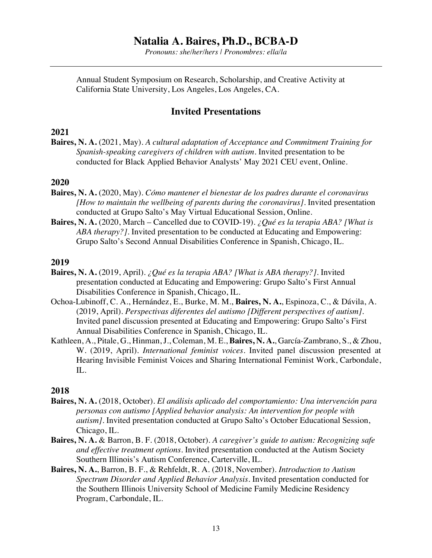*Pronouns: she/her/hers | Pronombres: ella/la*

Annual Student Symposium on Research, Scholarship, and Creative Activity at California State University, Los Angeles, Los Angeles, CA.

#### **Invited Presentations**

#### **2021**

**Baires, N. A.** (2021, May). *A cultural adaptation of Acceptance and Commitment Training for Spanish-speaking caregivers of children with autism.* Invited presentation to be conducted for Black Applied Behavior Analysts' May 2021 CEU event, Online.

#### **2020**

- **Baires, N. A.** (2020, May). *Cómo mantener el bienestar de los padres durante el coronavirus [How to maintain the wellbeing of parents during the coronavirus].* Invited presentation conducted at Grupo Salto's May Virtual Educational Session, Online.
- **Baires, N. A.** (2020, March Cancelled due to COVID-19). *¿Qué es la terapia ABA? [What is ABA therapy?].* Invited presentation to be conducted at Educating and Empowering: Grupo Salto's Second Annual Disabilities Conference in Spanish, Chicago, IL.

#### **2019**

- **Baires, N. A.** (2019, April). *¿Qué es la terapia ABA? [What is ABA therapy?].* Invited presentation conducted at Educating and Empowering: Grupo Salto's First Annual Disabilities Conference in Spanish, Chicago, IL.
- Ochoa-Lubinoff, C. A., Hernández, E., Burke, M. M., **Baires, N. A.**, Espinoza, C., & Dávila, A. (2019, April). *Perspectivas diferentes del autismo [Different perspectives of autism].* Invited panel discussion presented at Educating and Empowering: Grupo Salto's First Annual Disabilities Conference in Spanish, Chicago, IL.
- Kathleen, A., Pitale, G., Hinman, J., Coleman, M. E., **Baires, N. A.**, García-Zambrano, S., & Zhou, W. (2019, April). *International feminist voices.* Invited panel discussion presented at Hearing Invisible Feminist Voices and Sharing International Feminist Work, Carbondale, IL.

- **Baires, N. A.** (2018, October). *El análisis aplicado del comportamiento: Una intervención para personas con autismo [Applied behavior analysis: An intervention for people with autism]*. Invited presentation conducted at Grupo Salto's October Educational Session, Chicago, IL.
- **Baires, N. A.** & Barron, B. F. (2018, October). *A caregiver's guide to autism: Recognizing safe and effective treatment options.* Invited presentation conducted at the Autism Society Southern Illinois's Autism Conference, Carterville, IL.
- **Baires, N. A.**, Barron, B. F., & Rehfeldt, R. A. (2018, November). *Introduction to Autism Spectrum Disorder and Applied Behavior Analysis.* Invited presentation conducted for the Southern Illinois University School of Medicine Family Medicine Residency Program, Carbondale, IL.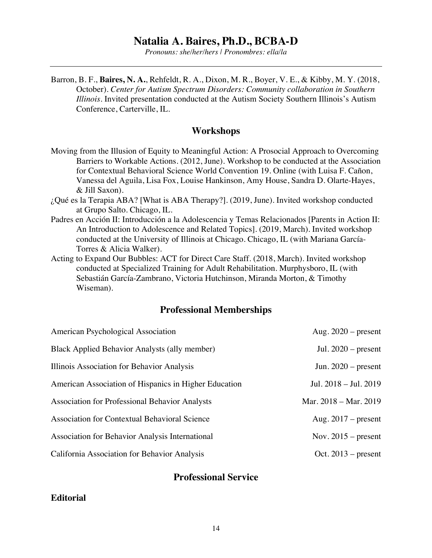*Pronouns: she/her/hers | Pronombres: ella/la*

Barron, B. F., **Baires, N. A.**, Rehfeldt, R. A., Dixon, M. R., Boyer, V. E., & Kibby, M. Y. (2018, October). *Center for Autism Spectrum Disorders: Community collaboration in Southern Illinois*. Invited presentation conducted at the Autism Society Southern Illinois's Autism Conference, Carterville, IL.

#### **Workshops**

- Moving from the Illusion of Equity to Meaningful Action: A Prosocial Approach to Overcoming Barriers to Workable Actions. (2012, June). Workshop to be conducted at the Association for Contextual Behavioral Science World Convention 19. Online (with Luisa F. Cañon, Vanessa del Aguila, Lisa Fox, Louise Hankinson, Amy House, Sandra D. Olarte-Hayes, & Jill Saxon).
- ¿Qué es la Terapia ABA? [What is ABA Therapy?]. (2019, June). Invited workshop conducted at Grupo Salto. Chicago, IL.
- Padres en Acción II: Introducción a la Adolescencia y Temas Relacionados [Parents in Action II: An Introduction to Adolescence and Related Topics]. (2019, March). Invited workshop conducted at the University of Illinois at Chicago. Chicago, IL (with Mariana García-Torres & Alicia Walker).
- Acting to Expand Our Bubbles: ACT for Direct Care Staff. (2018, March). Invited workshop conducted at Specialized Training for Adult Rehabilitation. Murphysboro, IL (with Sebastián García-Zambrano, Victoria Hutchinson, Miranda Morton, & Timothy Wiseman).

#### **Professional Memberships**

| American Psychological Association                    | Aug. $2020$ – present |
|-------------------------------------------------------|-----------------------|
| Black Applied Behavior Analysts (ally member)         | Jul. $2020$ – present |
| Illinois Association for Behavior Analysis            | Jun. $2020$ – present |
| American Association of Hispanics in Higher Education | Jul. 2018 - Jul. 2019 |
| <b>Association for Professional Behavior Analysts</b> | Mar. 2018 - Mar. 2019 |
| Association for Contextual Behavioral Science         | Aug. $2017$ – present |
| Association for Behavior Analysis International       | Nov. $2015$ – present |
| California Association for Behavior Analysis          | Oct. $2013$ – present |

#### **Professional Service**

#### **Editorial**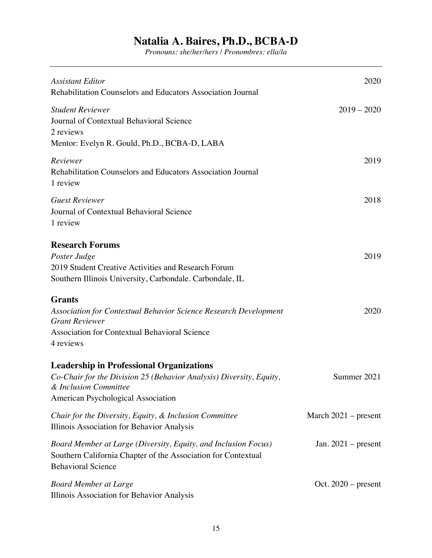| <b>Assistant Editor</b><br>Rehabilitation Counselors and Educators Association Journal                                                                                                 | 2020                   |
|----------------------------------------------------------------------------------------------------------------------------------------------------------------------------------------|------------------------|
| <b>Student Reviewer</b><br>Journal of Contextual Behavioral Science<br>2 reviews                                                                                                       | $2019 - 2020$          |
| Mentor: Evelyn R. Gould, Ph.D., BCBA-D, LABA                                                                                                                                           |                        |
| Reviewer<br>Rehabilitation Counselors and Educators Association Journal<br>1 review                                                                                                    | 2019                   |
| <b>Guest Reviewer</b><br>Journal of Contextual Behavioral Science<br>1 review                                                                                                          | 2018                   |
| <b>Research Forums</b><br>Poster Judge<br>2019 Student Creative Activities and Research Forum<br>Southern Illinois University, Carbondale. Carbondale, IL                              | 2019                   |
| <b>Grants</b><br><b>Association for Contextual Behavior Science Research Development</b><br><b>Grant Reviewer</b><br><b>Association for Contextual Behavioral Science</b><br>4 reviews | 2020                   |
| <b>Leadership in Professional Organizations</b><br>Co-Chair for the Division 25 (Behavior Analysis) Diversity, Equity,<br>& Inclusion Committee<br>American Psychological Association  | Summer 2021            |
| Chair for the Diversity, Equity, & Inclusion Committee<br>Illinois Association for Behavior Analysis                                                                                   | March $2021$ – present |
| Board Member at Large (Diversity, Equity, and Inclusion Focus)<br>Southern California Chapter of the Association for Contextual<br><b>Behavioral Science</b>                           | Jan. $2021$ – present  |
| <b>Board Member at Large</b><br>Illinois Association for Behavior Analysis                                                                                                             | Oct. $2020$ – present  |